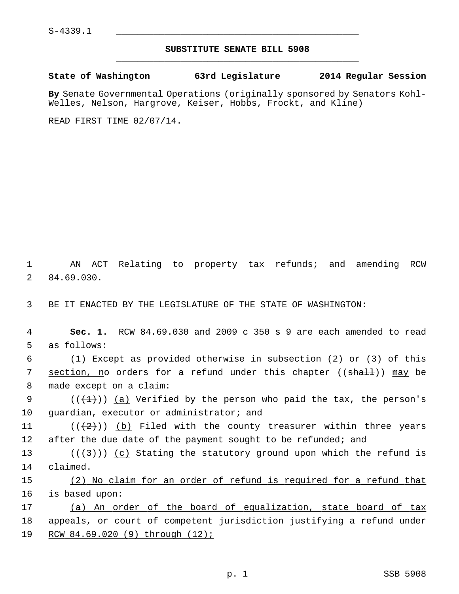## **SUBSTITUTE SENATE BILL 5908** \_\_\_\_\_\_\_\_\_\_\_\_\_\_\_\_\_\_\_\_\_\_\_\_\_\_\_\_\_\_\_\_\_\_\_\_\_\_\_\_\_\_\_\_\_

## **State of Washington 63rd Legislature 2014 Regular Session**

**By** Senate Governmental Operations (originally sponsored by Senators Kohl-Welles, Nelson, Hargrove, Keiser, Hobbs, Frockt, and Kline)

READ FIRST TIME 02/07/14.

 1 AN ACT Relating to property tax refunds; and amending RCW 2 84.69.030.

3 BE IT ENACTED BY THE LEGISLATURE OF THE STATE OF WASHINGTON:

 4 **Sec. 1.** RCW 84.69.030 and 2009 c 350 s 9 are each amended to read 5 as follows:

 6 (1) Except as provided otherwise in subsection (2) or (3) of this 7 section, no orders for a refund under this chapter ((shall)) may be 8 made except on a claim:

9 ( $(\{+1\})$ ) (a) Verified by the person who paid the tax, the person's 10 quardian, executor or administrator; and

11 ( $(\langle 2 \rangle)$ ) (b) Filed with the county treasurer within three years 12 after the due date of the payment sought to be refunded; and

13 ( $(\langle 3 \rangle)$ ) (c) Stating the statutory ground upon which the refund is 14 claimed.

15 (2) No claim for an order of refund is required for a refund that 16 is based upon:

17 (a) An order of the board of equalization, state board of tax 18 appeals, or court of competent jurisdiction justifying a refund under 19 RCW 84.69.020 (9) through (12);